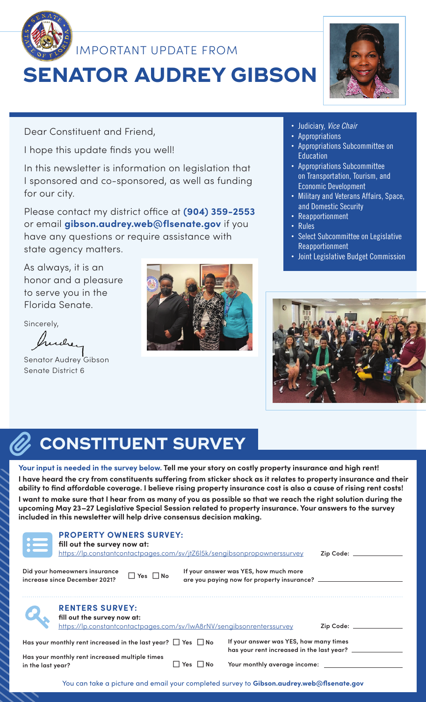

IMPORTANT UPDATE FROM

# **SENATOR AUDREY GIBSON**

Dear Constituent and Friend,

I hope this update finds you well!

In this newsletter is information on legislation that I sponsored and co-sponsored, as well as funding for our city.

Please contact my district office at **(904) 359-2553** or email **gibson.audrey.web@flsenate.gov** if you have any questions or require assistance with state agency matters.

As always, it is an honor and a pleasure to serve you in the Florida Senate.

Sincerely,

hudrey

Senator Audrey Gibson Senate District 6





- **·** Judiciary, *Vice Chair*
- **·** Appropriations
- **·** Appropriations Subcommittee on **Education**
- **·** Appropriations Subcommittee on Transportation, Tourism, and Economic Development
- **·** Military and Veterans Affairs, Space, and Domestic Security
- **·** Reapportionment
- **·** Rules
- **·** Select Subcommittee on Legislative Reapportionment
- **·** Joint Legislative Budget Commission



## **CONSTITUENT SURVEY** O)

**Your input is needed in the survey below. Tell me your story on costly property insurance and high rent! I have heard the cry from constituents suffering from sticker shock as it relates to property insurance and their ability to find affordable coverage. I believe rising property insurance cost is also a cause of rising rent costs! I want to make sure that I hear from as many of you as possible so that we reach the right solution during the upcoming May 23–27 Legislative Special Session related to property insurance. Your answers to the survey included in this newsletter will help drive consensus decision making.**

| <b>PROPERTY OWNERS SURVEY:</b><br>fill out the survey now at:<br>https://lp.constantcontactpages.com/sv/jtZ6l5k/sengibsonpropownerssurvey             |                    |                                                                                     | Zip Code: _________ |
|-------------------------------------------------------------------------------------------------------------------------------------------------------|--------------------|-------------------------------------------------------------------------------------|---------------------|
| Did your homeowners insurance<br>$\Box$ Yes $\Box$ No<br>increase since December 2021?                                                                |                    | If your answer was YES, how much more<br>are you paying now for property insurance? |                     |
| <b>RENTERS SURVEY:</b><br>fill out the survey now at:<br>https://lp.constantcontactpages.com/sv/lwA8rNV/sengibsonrenterssurvey<br>Zip Code: _________ |                    |                                                                                     |                     |
| Has your monthly rent increased in the last year? $\Box$ Yes $\Box$ No                                                                                |                    | If your answer was YES, how many times<br>has your rent increased in the last year? |                     |
| Has your monthly rent increased multiple times<br>in the last year?                                                                                   | l No<br><b>Yes</b> | Your monthly average income: ________                                               |                     |

You can take a picture and email your completed survey to **Gibson.audrey.web@flsenate.gov**